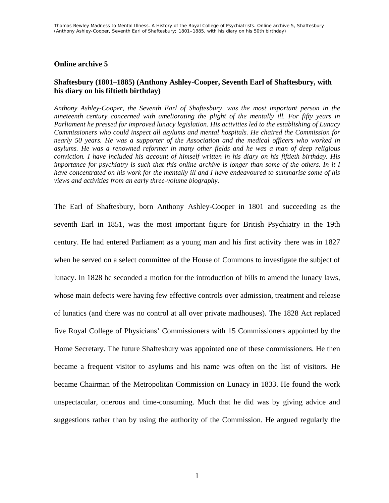## **Online archive 5**

## **Shaftesbury (1801–1885) (Anthony Ashley-Cooper, Seventh Earl of Shaftesbury, with his diary on his fiftieth birthday)**

*Anthony Ashley-Cooper, the Seventh Earl of Shaftesbury, was the most important person in the nineteenth century concerned with ameliorating the plight of the mentally ill. For fifty years in Parliament he pressed for improved lunacy legislation. His activities led to the establishing of Lunacy Commissioners who could inspect all asylums and mental hospitals. He chaired the Commission for nearly 50 years. He was a supporter of the Association and the medical officers who worked in asylums. He was a renowned reformer in many other fields and he was a man of deep religious conviction. I have included his account of himself written in his diary on his fiftieth birthday. His importance for psychiatry is such that this online archive is longer than some of the others. In it I have concentrated on his work for the mentally ill and I have endeavoured to summarise some of his views and activities from an early three-volume biography.* 

The Earl of Shaftesbury, born Anthony Ashley-Cooper in 1801 and succeeding as the seventh Earl in 1851, was the most important figure for British Psychiatry in the 19th century. He had entered Parliament as a young man and his first activity there was in 1827 when he served on a select committee of the House of Commons to investigate the subject of lunacy. In 1828 he seconded a motion for the introduction of bills to amend the lunacy laws, whose main defects were having few effective controls over admission, treatment and release of lunatics (and there was no control at all over private madhouses). The 1828 Act replaced five Royal College of Physicians' Commissioners with 15 Commissioners appointed by the Home Secretary. The future Shaftesbury was appointed one of these commissioners. He then became a frequent visitor to asylums and his name was often on the list of visitors. He became Chairman of the Metropolitan Commission on Lunacy in 1833. He found the work unspectacular, onerous and time-consuming. Much that he did was by giving advice and suggestions rather than by using the authority of the Commission. He argued regularly the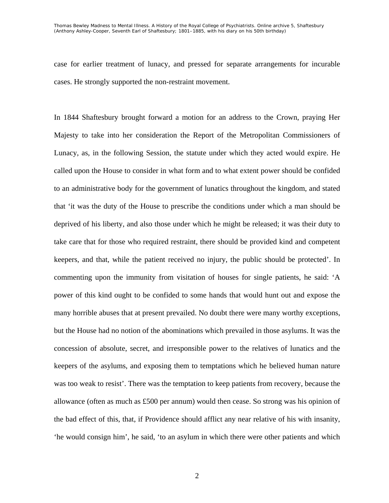case for earlier treatment of lunacy, and pressed for separate arrangements for incurable cases. He strongly supported the non-restraint movement.

In 1844 Shaftesbury brought forward a motion for an address to the Crown, praying Her Majesty to take into her consideration the Report of the Metropolitan Commissioners of Lunacy, as, in the following Session, the statute under which they acted would expire. He called upon the House to consider in what form and to what extent power should be confided to an administrative body for the government of lunatics throughout the kingdom, and stated that 'it was the duty of the House to prescribe the conditions under which a man should be deprived of his liberty, and also those under which he might be released; it was their duty to take care that for those who required restraint, there should be provided kind and competent keepers, and that, while the patient received no injury, the public should be protected'. In commenting upon the immunity from visitation of houses for single patients, he said: 'A power of this kind ought to be confided to some hands that would hunt out and expose the many horrible abuses that at present prevailed. No doubt there were many worthy exceptions, but the House had no notion of the abominations which prevailed in those asylums. It was the concession of absolute, secret, and irresponsible power to the relatives of lunatics and the keepers of the asylums, and exposing them to temptations which he believed human nature was too weak to resist'. There was the temptation to keep patients from recovery, because the allowance (often as much as £500 per annum) would then cease. So strong was his opinion of the bad effect of this, that, if Providence should afflict any near relative of his with insanity, 'he would consign him', he said, 'to an asylum in which there were other patients and which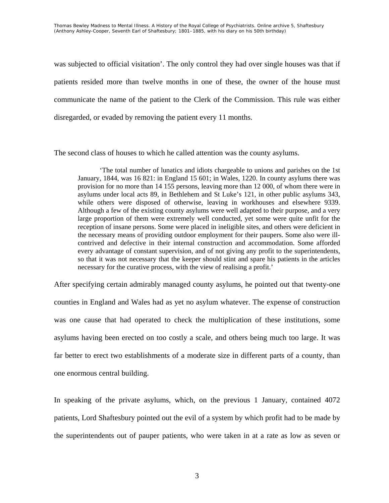was subjected to official visitation'. The only control they had over single houses was that if patients resided more than twelve months in one of these, the owner of the house must communicate the name of the patient to the Clerk of the Commission. This rule was either disregarded, or evaded by removing the patient every 11 months.

The second class of houses to which he called attention was the county asylums.

 'The total number of lunatics and idiots chargeable to unions and parishes on the 1st January, 1844, was 16 821: in England 15 601; in Wales, 1220. In county asylums there was provision for no more than 14 155 persons, leaving more than 12 000, of whom there were in asylums under local acts 89, in Bethlehem and St Luke's 121, in other public asylums 343, while others were disposed of otherwise, leaving in workhouses and elsewhere 9339. Although a few of the existing county asylums were well adapted to their purpose, and a very large proportion of them were extremely well conducted, yet some were quite unfit for the reception of insane persons. Some were placed in ineligible sites, and others were deficient in the necessary means of providing outdoor employment for their paupers. Some also were illcontrived and defective in their internal construction and accommodation. Some afforded every advantage of constant supervision, and of not giving any profit to the superintendents, so that it was not necessary that the keeper should stint and spare his patients in the articles necessary for the curative process, with the view of realising a profit.'

After specifying certain admirably managed county asylums, he pointed out that twenty-one counties in England and Wales had as yet no asylum whatever. The expense of construction was one cause that had operated to check the multiplication of these institutions, some asylums having been erected on too costly a scale, and others being much too large. It was far better to erect two establishments of a moderate size in different parts of a county, than one enormous central building.

In speaking of the private asylums, which, on the previous 1 January, contained 4072 patients, Lord Shaftesbury pointed out the evil of a system by which profit had to be made by the superintendents out of pauper patients, who were taken in at a rate as low as seven or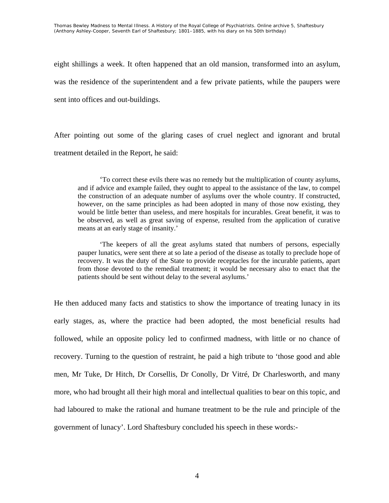eight shillings a week. It often happened that an old mansion, transformed into an asylum, was the residence of the superintendent and a few private patients, while the paupers were sent into offices and out-buildings.

After pointing out some of the glaring cases of cruel neglect and ignorant and brutal treatment detailed in the Report, he said:

 'To correct these evils there was no remedy but the multiplication of county asylums, and if advice and example failed, they ought to appeal to the assistance of the law, to compel the construction of an adequate number of asylums over the whole country. If constructed, however, on the same principles as had been adopted in many of those now existing, they would be little better than useless, and mere hospitals for incurables. Great benefit, it was to be observed, as well as great saving of expense, resulted from the application of curative means at an early stage of insanity.'

 'The keepers of all the great asylums stated that numbers of persons, especially pauper lunatics, were sent there at so late a period of the disease as totally to preclude hope of recovery. It was the duty of the State to provide receptacles for the incurable patients, apart from those devoted to the remedial treatment; it would be necessary also to enact that the patients should be sent without delay to the several asylums.'

He then adduced many facts and statistics to show the importance of treating lunacy in its early stages, as, where the practice had been adopted, the most beneficial results had followed, while an opposite policy led to confirmed madness, with little or no chance of recovery. Turning to the question of restraint, he paid a high tribute to 'those good and able men, Mr Tuke, Dr Hitch, Dr Corsellis, Dr Conolly, Dr Vitré, Dr Charlesworth, and many more, who had brought all their high moral and intellectual qualities to bear on this topic, and had laboured to make the rational and humane treatment to be the rule and principle of the government of lunacy'. Lord Shaftesbury concluded his speech in these words:-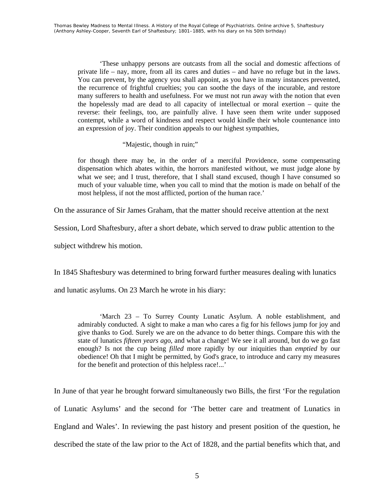'These unhappy persons are outcasts from all the social and domestic affections of private life – nay, more, from all its cares and duties – and have no refuge but in the laws. You can prevent, by the agency you shall appoint, as you have in many instances prevented, the recurrence of frightful cruelties; you can soothe the days of the incurable, and restore many sufferers to health and usefulness. For we must not run away with the notion that even the hopelessly mad are dead to all capacity of intellectual or moral exertion – quite the reverse: their feelings, too, are painfully alive. I have seen them write under supposed contempt, while a word of kindness and respect would kindle their whole countenance into an expression of joy. Their condition appeals to our highest sympathies,

"Majestic, though in ruin;"

for though there may be, in the order of a merciful Providence, some compensating dispensation which abates within, the horrors manifested without, we must judge alone by what we see; and I trust, therefore, that I shall stand excused, though I have consumed so much of your valuable time, when you call to mind that the motion is made on behalf of the most helpless, if not the most afflicted, portion of the human race.'

On the assurance of Sir James Graham, that the matter should receive attention at the next

Session, Lord Shaftesbury, after a short debate, which served to draw public attention to the

subject withdrew his motion.

In 1845 Shaftesbury was determined to bring forward further measures dealing with lunatics

and lunatic asylums. On 23 March he wrote in his diary:

'March 23 – To Surrey County Lunatic Asylum. A noble establishment, and admirably conducted. A sight to make a man who cares a fig for his fellows jump for joy and give thanks to God. Surely we are on the advance to do better things. Compare this with the state of lunatics *fifteen years ag*o, and what a change! We see it all around, but do we go fast enough? Is not the cup being *filled* more rapidly by our iniquities than *emptied* by our obedience! Oh that I might be permitted, by God's grace, to introduce and carry my measures for the benefit and protection of this helpless race!...'

In June of that year he brought forward simultaneously two Bills, the first 'For the regulation of Lunatic Asylums' and the second for 'The better care and treatment of Lunatics in England and Wales'. In reviewing the past history and present position of the question, he described the state of the law prior to the Act of 1828, and the partial benefits which that, and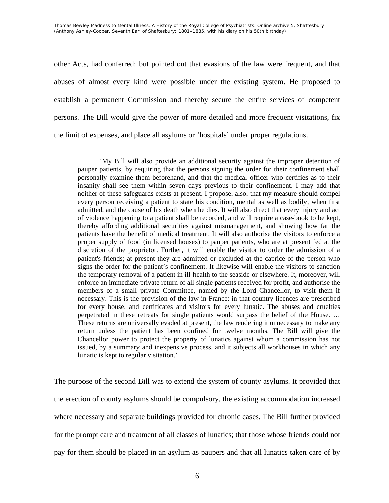other Acts, had conferred: but pointed out that evasions of the law were frequent, and that abuses of almost every kind were possible under the existing system. He proposed to establish a permanent Commission and thereby secure the entire services of competent persons. The Bill would give the power of more detailed and more frequent visitations, fix the limit of expenses, and place all asylums or 'hospitals' under proper regulations.

'My Bill will also provide an additional security against the improper detention of pauper patients, by requiring that the persons signing the order for their confinement shall personally examine them beforehand, and that the medical officer who certifies as to their insanity shall see them within seven days previous to their confinement. I may add that neither of these safeguards exists at present. I propose, also, that my measure should compel every person receiving a patient to state his condition, mental as well as bodily, when first admitted, and the cause of his death when he dies. It will also direct that every injury and act of violence happening to a patient shall be recorded, and will require a case-book to be kept, thereby affording additional securities against mismanagement, and showing how far the patients have the benefit of medical treatment. It will also authorise the visitors to enforce a proper supply of food (in licensed houses) to pauper patients, who are at present fed at the discretion of the proprietor. Further, it will enable the visitor to order the admission of a patient's friends; at present they are admitted or excluded at the caprice of the person who signs the order for the patient's confinement. It likewise will enable the visitors to sanction the temporary removal of a patient in ill-health to the seaside or elsewhere. It, moreover, will enforce an immediate private return of all single patients received for profit, and authorise the members of a small private Committee, named by the Lord Chancellor, to visit them if necessary. This is the provision of the law in France: in that country licences are prescribed for every house, and certificates and visitors for every lunatic. The abuses and cruelties perpetrated in these retreats for single patients would surpass the belief of the House. … These returns are universally evaded at present, the law rendering it unnecessary to make any return unless the patient has been confined for twelve months. The Bill will give the Chancellor power to protect the property of lunatics against whom a commission has not issued, by a summary and inexpensive process, and it subjects all workhouses in which any lunatic is kept to regular visitation.'

The purpose of the second Bill was to extend the system of county asylums. It provided that the erection of county asylums should be compulsory, the existing accommodation increased where necessary and separate buildings provided for chronic cases. The Bill further provided for the prompt care and treatment of all classes of lunatics; that those whose friends could not pay for them should be placed in an asylum as paupers and that all lunatics taken care of by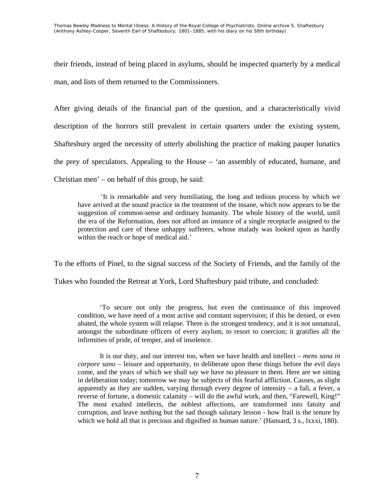their friends, instead of being placed in asylums, should be inspected quarterly by a medical man, and lists of them returned to the Commissioners.

After giving details of the financial part of the question, and a characteristically vivid description of the horrors still prevalent in certain quarters under the existing system, Shaftesbury urged the necessity of utterly abolishing the practice of making pauper lunatics the prey of speculators. Appealing to the House – 'an assembly of educated, humane, and Christian men' – on behalf of this group, he said:

'It is remarkable and very humiliating, the long and tedious process by which we have arrived at the sound practice in the treatment of the insane, which now appears to be the suggestion of common-sense and ordinary humanity. The whole history of the world, until the era of the Reformation, does not afford an instance of a single receptacle assigned to the protection and care of these unhappy sufferers, whose malady was looked upon as hardly within the reach or hope of medical aid.'

To the efforts of Pinel, to the signal success of the Society of Friends, and the family of the

Tukes who founded the Retreat at York, Lord Shaftesbury paid tribute, and concluded:

'To secure not only the progress, but even the continuance of this improved condition, we have need of a most active and constant supervision; if this be denied, or even abated, the whole system will relapse. There is the strongest tendency, and it is not unnatural, amongst the subordinate officers of every asylum, to resort to coercion; it gratifies all the infirmities of pride, of temper, and of insolence.

 It is our duty, and our interest too, when we have health and intellect – *mens sana in corpore sano* – leisure and opportunity, to deliberate upon these things before the evil days come, and the years of which we shall say we have no pleasure in them. Here are we sitting in deliberation today; tomorrow we may be subjects of this fearful affliction. Causes, as slight apparently as they are sudden, varying through every degree of intensity – a fall, a fever, a reverse of fortune, a domestic calamity – will do the awful work, and then, "Farewell, King!" The most exalted intellects, the noblest affections, are transformed into fatuity and corruption, and leave nothing but the sad though salutary lesson - how frail is the tenure by which we hold all that is precious and dignified in human nature.' (Hansard, 3 s., lxxxi, 180).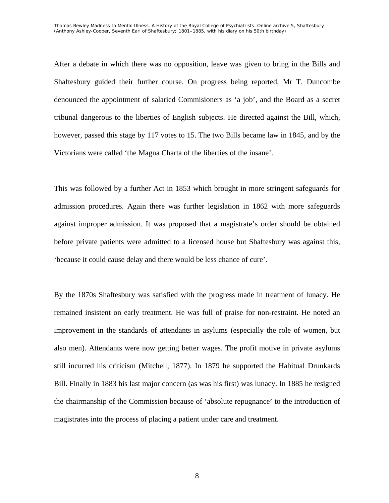After a debate in which there was no opposition, leave was given to bring in the Bills and Shaftesbury guided their further course. On progress being reported, Mr T. Duncombe denounced the appointment of salaried Commisioners as 'a job', and the Board as a secret tribunal dangerous to the liberties of English subjects. He directed against the Bill, which, however, passed this stage by 117 votes to 15. The two Bills became law in 1845, and by the Victorians were called 'the Magna Charta of the liberties of the insane'.

This was followed by a further Act in 1853 which brought in more stringent safeguards for admission procedures. Again there was further legislation in 1862 with more safeguards against improper admission. It was proposed that a magistrate's order should be obtained before private patients were admitted to a licensed house but Shaftesbury was against this, 'because it could cause delay and there would be less chance of cure'.

By the 1870s Shaftesbury was satisfied with the progress made in treatment of lunacy. He remained insistent on early treatment. He was full of praise for non-restraint. He noted an improvement in the standards of attendants in asylums (especially the role of women, but also men). Attendants were now getting better wages. The profit motive in private asylums still incurred his criticism (Mitchell, 1877). In 1879 he supported the Habitual Drunkards Bill. Finally in 1883 his last major concern (as was his first) was lunacy. In 1885 he resigned the chairmanship of the Commission because of 'absolute repugnance' to the introduction of magistrates into the process of placing a patient under care and treatment.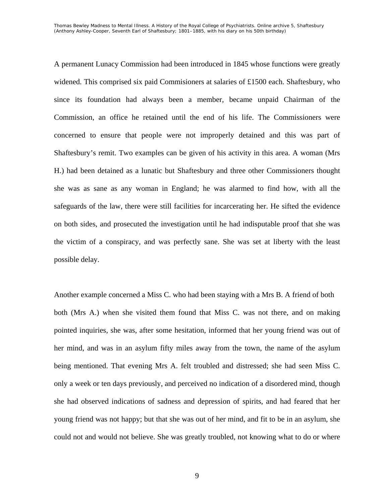A permanent Lunacy Commission had been introduced in 1845 whose functions were greatly widened. This comprised six paid Commisioners at salaries of £1500 each. Shaftesbury, who since its foundation had always been a member, became unpaid Chairman of the Commission, an office he retained until the end of his life. The Commissioners were concerned to ensure that people were not improperly detained and this was part of Shaftesbury's remit. Two examples can be given of his activity in this area. A woman (Mrs H.) had been detained as a lunatic but Shaftesbury and three other Commissioners thought she was as sane as any woman in England; he was alarmed to find how, with all the safeguards of the law, there were still facilities for incarcerating her. He sifted the evidence on both sides, and prosecuted the investigation until he had indisputable proof that she was the victim of a conspiracy, and was perfectly sane. She was set at liberty with the least possible delay.

Another example concerned a Miss C. who had been staying with a Mrs B. A friend of both both (Mrs A.) when she visited them found that Miss C. was not there, and on making pointed inquiries, she was, after some hesitation, informed that her young friend was out of her mind, and was in an asylum fifty miles away from the town, the name of the asylum being mentioned. That evening Mrs A. felt troubled and distressed; she had seen Miss C. only a week or ten days previously, and perceived no indication of a disordered mind, though she had observed indications of sadness and depression of spirits, and had feared that her young friend was not happy; but that she was out of her mind, and fit to be in an asylum, she could not and would not believe. She was greatly troubled, not knowing what to do or where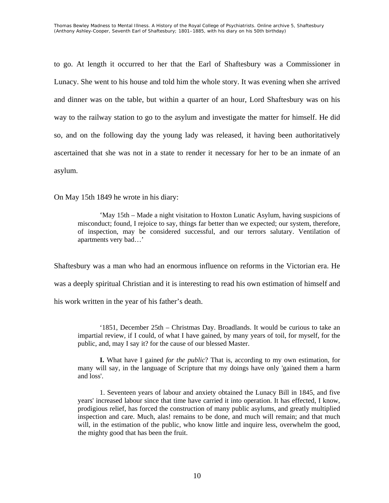to go. At length it occurred to her that the Earl of Shaftesbury was a Commissioner in Lunacy. She went to his house and told him the whole story. It was evening when she arrived and dinner was on the table, but within a quarter of an hour, Lord Shaftesbury was on his way to the railway station to go to the asylum and investigate the matter for himself. He did so, and on the following day the young lady was released, it having been authoritatively ascertained that she was not in a state to render it necessary for her to be an inmate of an asylum.

On May 15th 1849 he wrote in his diary:

 'May 15th – Made a night visitation to Hoxton Lunatic Asylum, having suspicions of misconduct; found, I rejoice to say, things far better than we expected; our system, therefore, of inspection, may be considered successful, and our terrors salutary. Ventilation of apartments very bad…'

Shaftesbury was a man who had an enormous influence on reforms in the Victorian era. He was a deeply spiritual Christian and it is interesting to read his own estimation of himself and his work written in the year of his father's death.

'1851, December 25th – Christmas Day. Broadlands. It would be curious to take an impartial review, if I could, of what I have gained, by many years of toil, for myself, for the public, and, may I say it? for the cause of our blessed Master.

**I.** What have I gained *for the public*? That is, according to my own estimation, for many will say, in the language of Scripture that my doings have only 'gained them a harm and loss'.

 1. Seventeen years of labour and anxiety obtained the Lunacy Bill in 1845, and five years' increased labour since that time have carried it into operation. It has effected, I know, prodigious relief, has forced the construction of many public asylums, and greatly multiplied inspection and care. Much, alas! remains to be done, and much will remain; and that much will, in the estimation of the public, who know little and inquire less, overwhelm the good, the mighty good that has been the fruit.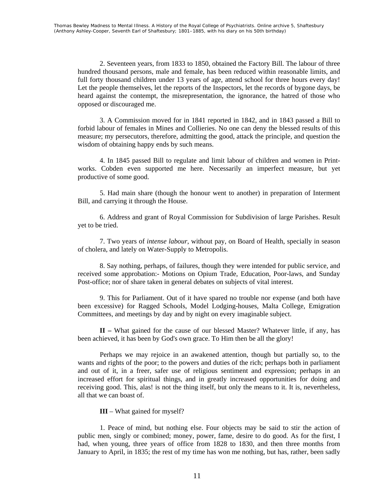2. Seventeen years, from 1833 to 1850, obtained the Factory Bill. The labour of three hundred thousand persons, male and female, has been reduced within reasonable limits, and full forty thousand children under 13 years of age, attend school for three hours every day! Let the people themselves, let the reports of the Inspectors, let the records of bygone days, be heard against the contempt, the misrepresentation, the ignorance, the hatred of those who opposed or discouraged me.

 3. A Commission moved for in 1841 reported in 1842, and in 1843 passed a Bill to forbid labour of females in Mines and Collieries. No one can deny the blessed results of this measure; my persecutors, therefore, admitting the good, attack the principle, and question the wisdom of obtaining happy ends by such means.

 4. In 1845 passed Bill to regulate and limit labour of children and women in Printworks. Cobden even supported me here. Necessarily an imperfect measure, but yet productive of some good.

 5. Had main share (though the honour went to another) in preparation of Interment Bill, and carrying it through the House.

 6. Address and grant of Royal Commission for Subdivision of large Parishes. Result yet to be tried.

 7. Two years of *intense labour*, without pay, on Board of Health, specially in season of cholera, and lately on Water-Supply to Metropolis.

 8. Say nothing, perhaps, of failures, though they were intended for public service, and received some approbation:- Motions on Opium Trade, Education, Poor-laws, and Sunday Post-office; nor of share taken in general debates on subjects of vital interest.

 9. This for Parliament. Out of it have spared no trouble nor expense (and both have been excessive) for Ragged Schools, Model Lodging-houses, Malta College, Emigration Committees, and meetings by day and by night on every imaginable subject.

**II –** What gained for the cause of our blessed Master? Whatever little, if any, has been achieved, it has been by God's own grace. To Him then be all the glory!

 Perhaps we may rejoice in an awakened attention, though but partially so, to the wants and rights of the poor; to the powers and duties of the rich; perhaps both in parliament and out of it, in a freer, safer use of religious sentiment and expression; perhaps in an increased effort for spiritual things, and in greatly increased opportunities for doing and receiving good. This, alas! is not the thing itself, but only the means to it. It is, nevertheless, all that we can boast of.

**III** – What gained for myself?

 1. Peace of mind, but nothing else. Four objects may be said to stir the action of public men, singly or combined; money, power, fame, desire to do good. As for the first, I had, when young, three years of office from 1828 to 1830, and then three months from January to April, in 1835; the rest of my time has won me nothing, but has, rather, been sadly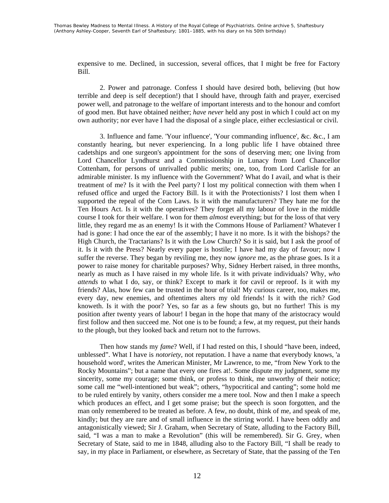expensive to me. Declined, in succession, several offices, that I might be free for Factory Bill.

 2. Power and patronage. Confess I should have desired both, believing (but how terrible and deep is self deception!) that I should have, through faith and prayer, exercised power well, and patronage to the welfare of important interests and to the honour and comfort of good men. But have obtained neither; *have never* held any post in which I could act on my own authority; nor ever have I had the disposal of a single place, either ecclesiastical or civil.

 3. Influence and fame. 'Your influence', 'Your commanding influence', &c. &c., I am constantly hearing, but never experiencing. In a long public life I have obtained three cadetships and one surgeon's appointment for the sons of deserving men; one living from Lord Chancellor Lyndhurst and a Commissionship in Lunacy from Lord Chancellor Cottenham, for persons of unrivalled public merits; one, too, from Lord Carlisle for an admirable minister. Is my influence with the Government? What do I avail, and what is their treatment of me? Is it with the Peel party? I lost my political connection with them when I refused office and urged the Factory Bill. Is it with the Protectionists? I lost them when I supported the repeal of the Corn Laws. Is it with the manufacturers? They hate me for the Ten Hours Act. Is it with the operatives? They forget all my labour of love in the middle course I took for their welfare. I won for them *almost* everything; but for the loss of that very little, they regard me as an enemy! Is it with the Commons House of Parliament? Whatever I had is gone: I had once the ear of the assembly; I have it no more. Is it with the bishops? the High Church, the Tractarians? Is it with the Low Church? So it is said, but I ask the proof of it. Is it with the Press? Nearly every paper is hostile; I have had my day of favour; now I suffer the reverse. They began by reviling me, they now *ignore* me, as the phrase goes. Is it a power to raise money for charitable purposes? Why, Sidney Herbert raised, in three months, nearly as much as I have raised in my whole life. Is it with private individuals? Why, *who attends* to what I do, say, or think? Except to mark it for cavil or reproof. Is it with my friends? Alas, how few can be trusted in the hour of trial! My curious career, too, makes me, every day, new enemies, and oftentimes alters my old friends! Is it with the rich? God knoweth. Is it with the poor? Yes, so far as a few shouts go, but no further! This is my position after twenty years of labour! I began in the hope that many of the aristocracy would first follow and then succeed me. Not one is to be found; a few, at my request, put their hands to the plough, but they looked back and return not to the furrows.

 Then how stands my *fame*? Well, if I had rested on this, I should "have been, indeed, unblessed". What I have is *notoriety*, not reputation. I have a name that everybody knows, 'a household word', writes the American Minister, Mr Lawrence, to me, "from New York to the Rocky Mountains"; but a name that every one fires at!. Some dispute my judgment, some my sincerity, some my courage; some think, or profess to think, me unworthy of their notice; some call me "well-intentioned but weak"; others, "hypocritical and canting"; some hold me to be ruled entirely by vanity, others consider me a mere tool. Now and then I make a speech which produces an effect, and I get some praise; but the speech is soon forgotten, and the man only remembered to be treated as before. A few, no doubt, think of me, and speak of me, kindly; but they are rare and of small influence in the stirring world. I have been oddly and antagonistically viewed; Sir J. Graham, when Secretary of State, alluding to the Factory Bill, said, "I was a man to make a Revolution" (this will be remembered). Sir G. Grey, when Secretary of State, said to me in 1848, alluding also to the Factory Bill, "I shall be ready to say, in my place in Parliament, or elsewhere, as Secretary of State, that the passing of the Ten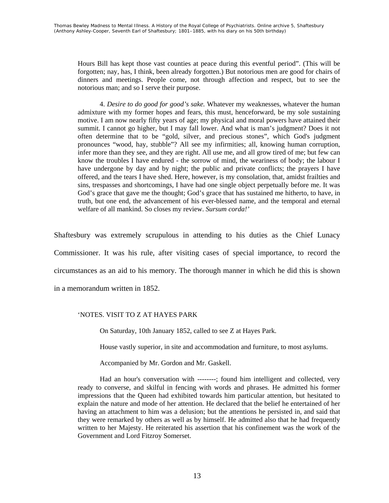Hours Bill has kept those vast counties at peace during this eventful period". (This will be forgotten; nay, has, I think, been already forgotten.) But notorious men are good for chairs of dinners and meetings. People come, not through affection and respect, but to see the notorious man; and so I serve their purpose.

 4. *Desire to do good for good's sake.* Whatever my weaknesses, whatever the human admixture with my former hopes and fears, this must, henceforward, be my sole sustaining motive. I am now nearly fifty years of age; my physical and moral powers have attained their summit. I cannot go higher, but I may fall lower. And what is man's judgment? Does it not often determine that to be "gold, silver, and precious stones", which God's judgment pronounces "wood, hay, stubble"? All see my infirmities; all, knowing human corruption, infer more than they see, and they are right. All use me, and all grow tired of me; but few can know the troubles I have endured - the sorrow of mind, the weariness of body; the labour I have undergone by day and by night; the public and private conflicts; the prayers I have offered, and the tears I have shed. Here, however, is my consolation, that, amidst frailties and sins, trespasses and shortcomings, I have had one single object perpetually before me. It was God's grace that gave me the thought; God's grace that has sustained me hitherto, to have, in truth, but one end, the advancement of his ever-blessed name, and the temporal and eternal welfare of all mankind. So closes my review. *Sursum corda!'* 

Shaftesbury was extremely scrupulous in attending to his duties as the Chief Lunacy Commissioner. It was his rule, after visiting cases of special importance, to record the circumstances as an aid to his memory. The thorough manner in which he did this is shown in a memorandum written in 1852.

## 'NOTES. VISIT TO Z AT HAYES PARK

On Saturday, 10th January 1852, called to see Z at Hayes Park.

House vastly superior, in site and accommodation and furniture, to most asylums.

Accompanied by Mr. Gordon and Mr. Gaskell.

 Had an hour's conversation with --------; found him intelligent and collected, very ready to converse, and skilful in fencing with words and phrases. He admitted his former impressions that the Queen had exhibited towards him particular attention, but hesitated to explain the nature and mode of her attention. He declared that the belief he entertained of her having an attachment to him was a delusion; but the attentions he persisted in, and said that they were remarked by others as well as by himself. He admitted also that he had frequently written to her Majesty. He reiterated his assertion that his confinement was the work of the Government and Lord Fitzroy Somerset.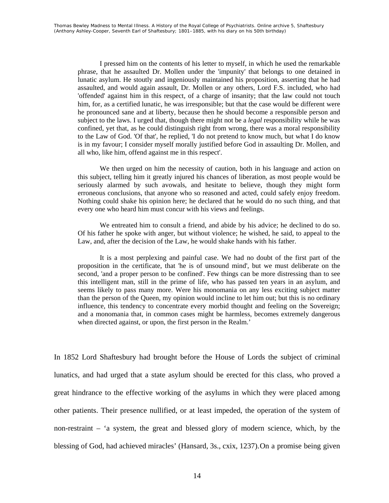I pressed him on the contents of his letter to myself, in which he used the remarkable phrase, that he assaulted Dr. Mollen under the 'impunity' that belongs to one detained in lunatic asylum. He stoutly and ingeniously maintained his proposition, asserting that he had assaulted, and would again assault, Dr. Mollen or any others, Lord F.S. included, who had 'offended' against him in this respect, of a charge of insanity; that the law could not touch him, for, as a certified lunatic, he was irresponsible; but that the case would be different were he pronounced sane and at liberty, because then he should become a responsible person and subject to the laws. I urged that, though there might not be a *legal* responsibility while he was confined, yet that, as he could distinguish right from wrong, there was a moral responsibility to the Law of God. 'Of that', he replied, 'I do not pretend to know much, but what I do know is in my favour; I consider myself morally justified before God in assaulting Dr. Mollen, and all who, like him, offend against me in this respect'.

We then urged on him the necessity of caution, both in his language and action on this subject, telling him it greatly injured his chances of liberation, as most people would be seriously alarmed by such avowals, and hesitate to believe, though they might form erroneous conclusions, that anyone who so reasoned and acted, could safely enjoy freedom. Nothing could shake his opinion here; he declared that he would do no such thing, and that every one who heard him must concur with his views and feelings.

 We entreated him to consult a friend, and abide by his advice; he declined to do so. Of his father he spoke with anger, but without violence; he wished, he said, to appeal to the Law, and, after the decision of the Law, he would shake hands with his father.

 It is a most perplexing and painful case. We had no doubt of the first part of the proposition in the certificate, that 'he is of unsound mind', but we must deliberate on the second, 'and a proper person to be confined'. Few things can be more distressing than to see this intelligent man, still in the prime of life, who has passed ten years in an asylum, and seems likely to pass many more. Were his monomania on any less exciting subject matter than the person of the Queen, my opinion would incline to let him out; but this is no ordinary influence, this tendency to concentrate every morbid thought and feeling on the Sovereign; and a monomania that, in common cases might be harmless, becomes extremely dangerous when directed against, or upon, the first person in the Realm.'

In 1852 Lord Shaftesbury had brought before the House of Lords the subject of criminal lunatics, and had urged that a state asylum should be erected for this class, who proved a great hindrance to the effective working of the asylums in which they were placed among other patients. Their presence nullified, or at least impeded, the operation of the system of non-restraint – 'a system, the great and blessed glory of modern science, which, by the blessing of God, had achieved miracles' (Hansard, 3s., cxix, 1237). On a promise being given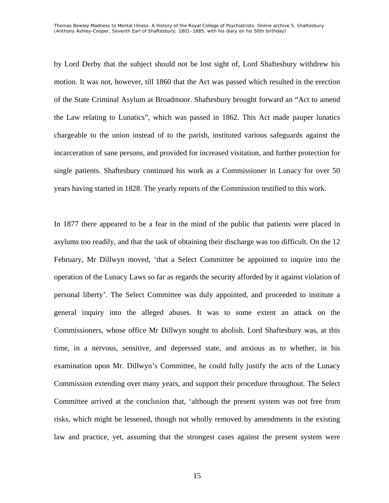by Lord Derby that the subject should not be lost sight of, Lord Shaftesbury withdrew his motion. It was not, however, till 1860 that the Act was passed which resulted in the erection of the State Criminal Asylum at Broadmoor. Shaftesbury brought forward an "Act to amend the Law relating to Lunatics", which was passed in 1862. This Act made pauper lunatics chargeable to the union instead of to the parish, instituted various safeguards against the incarceration of sane persons, and provided for increased visitation, and further protection for single patients. Shaftesbury continued his work as a Commissioner in Lunacy for over 50 years having started in 1828. The yearly reports of the Commission testified to this work.

In 1877 there appeared to be a fear in the mind of the public that patients were placed in asylums too readily, and that the task of obtaining their discharge was too difficult. On the 12 February, Mr Dillwyn moved, 'that a Select Committee be appointed to inquire into the operation of the Lunacy Laws so far as regards the security afforded by it against violation of personal liberty'. The Select Committee was duly appointed, and proceeded to institute a general inquiry into the alleged abuses. It was to some extent an attack on the Commissioners, whose office Mr Dillwyn sought to abolish. Lord Shaftesbury was, at this time, in a nervous, sensitive, and depressed state, and anxious as to whether, in his examination upon Mr. Dillwyn's Committee, he could fully justify the acts of the Lunacy Commission extending over many years, and support their procedure throughout. The Select Committee arrived at the conclusion that, 'although the present system was not free from risks, which might be lessened, though not wholly removed by amendments in the existing law and practice, yet, assuming that the strongest cases against the present system were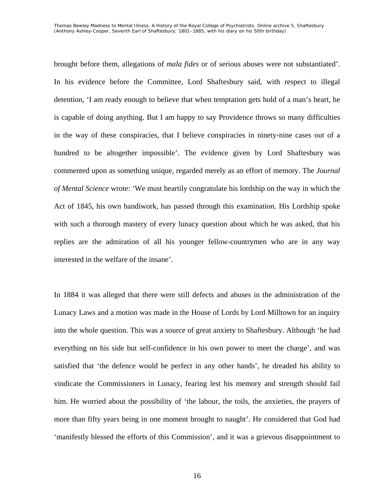brought before them, allegations of *mala fides* or of serious abuses were not substantiated'. In his evidence before the Committee, Lord Shaftesbury said, with respect to illegal detention, 'I am ready enough to believe that when temptation gets hold of a man's heart, he is capable of doing anything. But I am happy to say Providence throws so many difficulties in the way of these conspiracies, that I believe conspiracies in ninety-nine cases out of a hundred to be altogether impossible'. The evidence given by Lord Shaftesbury was commented upon as something unique, regarded merely as an effort of memory. The *Journal of Mental Science* wrote: 'We must heartily congratulate his lordship on the way in which the Act of 1845, his own handiwork, has passed through this examination. His Lordship spoke with such a thorough mastery of every lunacy question about which he was asked, that his replies are the admiration of all his younger fellow-countrymen who are in any way interested in the welfare of the insane'.

In 1884 it was alleged that there were still defects and abuses in the administration of the Lunacy Laws and a motion was made in the House of Lords by Lord Milltown for an inquiry into the whole question. This was a source of great anxiety to Shaftesbury. Although 'he had everything on his side but self-confidence in his own power to meet the charge', and was satisfied that 'the defence would be perfect in any other hands', he dreaded his ability to vindicate the Commissioners in Lunacy, fearing lest his memory and strength should fail him. He worried about the possibility of 'the labour, the toils, the anxieties, the prayers of more than fifty years being in one moment brought to naught'. He considered that God had 'manifestly blessed the efforts of this Commission', and it was a grievous disappointment to